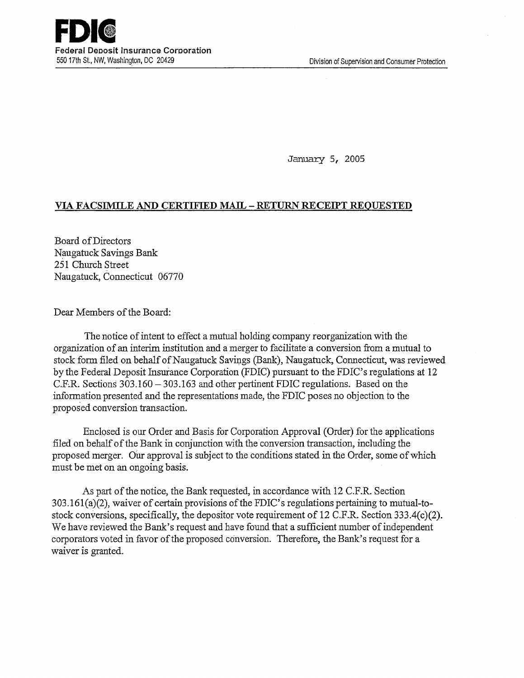January 5, 2005

# **VIA FACSIMILE AND CERTIFIED MAIL- RETURN RECEIPT REQUESTED**

Board ofDirectors Naugatuck Savings Bank 251 Church Street Naugatuck, Connecticut 06770

Dear Members of the Board:

The notice of intent to effect a mutual holding company reorganization with the organization of an interim institution and a merger to facilitate a conversion from a mutual to stock form filed on behalf of Naugatuck Savings (Bank), Naugatuck, Connecticut, was reviewed by the Federal Deposit Insurance Corporation (FDIC) pursuant to the FDIC's regulations at 12 C.ER. Sections 303.160-303.163 and other pertinent FDIC regulations. Based on the information presented and the representations made, the FDIC poses no objection to the proposed conversion transaction.

Enclosed is our Order and Basis for Corporation Approval (Order) for the applications filed on behalf of the Bank in conjunction with the conversion transaction, including the proposed merger. Our approval is subject to the conditions stated in the Order, some of which must be met on an ongoing basis.

As part of the notice, the Bank requested, in accordance with 12 C.P.R. Section 303.161(a)(2), waiver of certain provisions of the FDIC's regulations pertaining to mutual-tostock conversions, specifically, the depositor vote requirement of 12 C.P.R. Section 333.4(c)(2). We have reviewed the Bank's request and have found that a sufficient number of independent corporators voted in favor of the proposed conversion. Therefore, the Bank's request for a waiver is granted.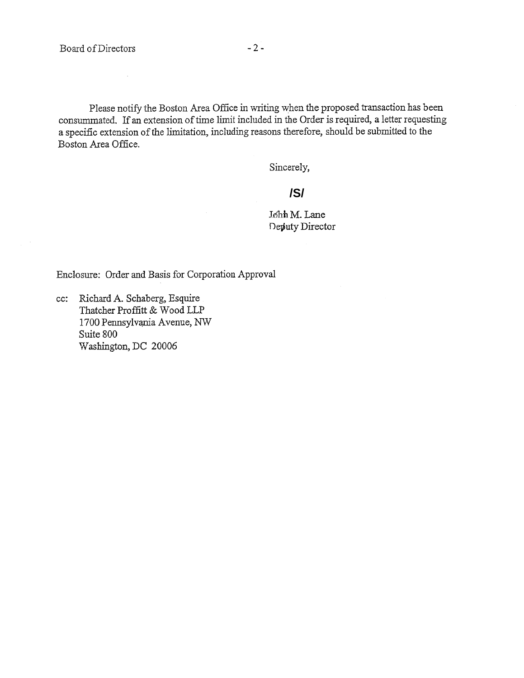$\hat{\boldsymbol{\beta}}$ 

Please notify the Boston Area Office in writing when the proposed transaction has been consummated. If an extension of time limit included in the Order is required, a letter requesting a specific extension of the limitation, including reasons therefore, should be submitted to the Boston Area Office.

Sincerely,

# **/S/**

John M. Lane Deputy Director

Enclosure: Order and Basis for Corporation Approval

cc: Richard A. Schaberg, Esquire Thatcher Proffitt & Wood LLP 1700 Pennsylvania Avenue, NW Suite 800 washington, DC 2000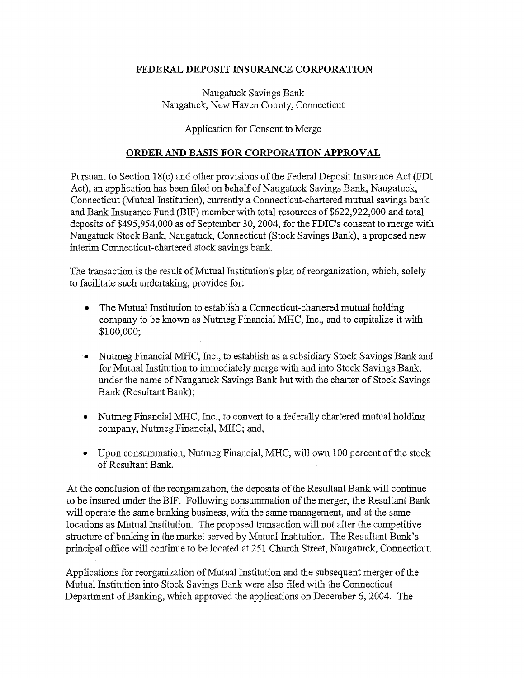### **FEDERAL DEPOSIT INSURANCE CORPORATION**

Naugatuck Savings Bank Naugatuck, New Haven County, Connecticut

# Application for Consent to Merge

#### **ORDER AND BASIS FOR CORPORATION APPROVAL**

Pursuant to Section 18(c) and other provisions of the Federal Deposit Insurance Act (FDI Act), an application has been filed on behalf of Naugatuck Savings Bank, Naugatuck, Connecticut (Mutual Institution), currently a Connecticut-chartered mutual savings bank and Bank Insurance Fund (BIF) member with total resources of \$622,922,000 and total deposits of \$495,954,000 as of September 30, 2004, for the FDIC's consent to merge with Naugatuck Stock Bank, Naugatuck, Connecticut (Stock Savings Bank), a proposed new interim Connecticut-chartered stock savings bank.

The transaction is the result of Mutual Institution's plan of reorganization, which, solely to facilitate such undertaking, provides for:

- The Mutual Institution to establish a Connecticut-chartered mutual holding company to be known as Nutmeg Financial MHC, Inc., and to capitalize it with \$100,000;
- Nutmeg Financial MHC, Inc., to establish as a subsidiary Stock Savings Bank and for Mutual Institution to immediately merge with and into Stock Savings Bank, under the name of Naugatuck Savings Bank but with the charter of Stock Savings Bank (Resultant Bank);
- Nutmeg Financial MHC, Inc., to convert to a federally chartered mutual holding company, Nutmeg Financial, MHC; and,
- Upon consummation, Nutmeg Financial, MHC, will own 100 percent of the stock of Resultant Bank.

At the conclusion of the reorganization, the deposits of the Resultant Bank will continue to be insured under the BIF. Following consummation of the merger, the Resultant Bank will operate the same banking business, with the same management, and at the same locations as Mutual Institution. The proposed transaction will not alter the competitive structure of banking in the market served by Mutual Institution. The Resultant Bank's principal office will continue to be located at 251 Church Street, Naugatuck, Connecticut.

Applications for reorganization of Mutual Institution and the subsequent merger of the Mutual Institution into Stock Savings Bank were also filed with the Connecticut Department of Banking, which approved the applications on December 6, 2004. The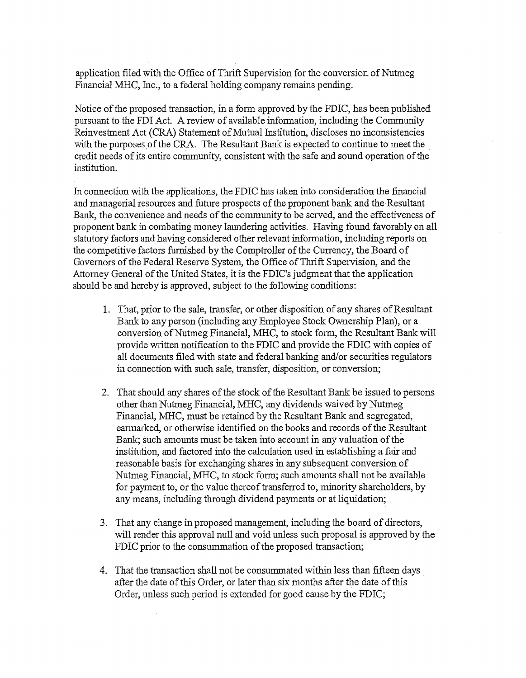application filed with the Office of Thrift Supervision for the conversion of Nutmeg Financial MHC, Inc., to a federal holding company remains pending.

Notice of the proposed transaction, in a form approved by the FDIC, has been published pursuant to the FDI Act. A review of available information, including the Community Reinvestment Act (CRA) Statement of Mutual Institution, discloses no inconsistencies with the purposes of the CRA. The Resultant Bank is expected to continue to meet the credit needs of its entire community, consistent with the safe and sound operation of the institution.

In connection with the applications, the FDIC has taken into consideration the financial and managerial resources and future prospects of the proponent bank and the Resultant Bank, the convenience and needs of the community to be served, and the effectiveness of proponent bank in combating money laundering activities. Having found favorably on all statutory factors and having considered other relevant information, including reports on the competitive factors furnished by the Comptroller of the Currency, the Board of Governors of the Federal Reserve System, the Office of Thrift Supervision, and the Attorney General of the United States, it is the FDIC's judgment that the application should be and hereby is approved, subject to the following conditions:

- 1. That, prior to the sale, transfer, or other disposition of any shares of Resultant Bank to any person (including any Employee Stock Ownership Plan), or a conversion of Nutmeg Financial, MHC, to stock form, the Resultant Bank will provide written notification to the FDIC and provide the FDIC with copies of all documents filed with state and federal banking and/or securities regulators in connection with such sale, transfer, disposition, or conversion;
- 2. That should any shares of the stock ofthe Resultant Bank be issued to persons other than Nutmeg Financial, MHC, any dividends waived by Nutmeg Financial, MHC, must be retained by the Resultant Bank and segregated, earmarked, or otherwise identified on the books and records of the Resultant Bank; such amounts must be taken into account in any valuation of the institution, and factored into the calculation used in establishing a fair and reasonable basis for exchanging shares in any subsequent conversion of Nutmeg Financial, MHC, to stock form; such amounts shall not be available for payment to, or the value thereof transferred to, minority shareholders, by any means, including through dividend payments or at liquidation;
- 3. That any change in proposed management, including the board of directors, will render this approval null and void unless such proposal is approved by the FDIC prior to the consummation of the proposed transaction;
- 4. That the transaction shall not be consummated within less than fifteen days after the date of this Order, or later than six months after the date of this Order, unless such period is extended for good cause by the FDIC;